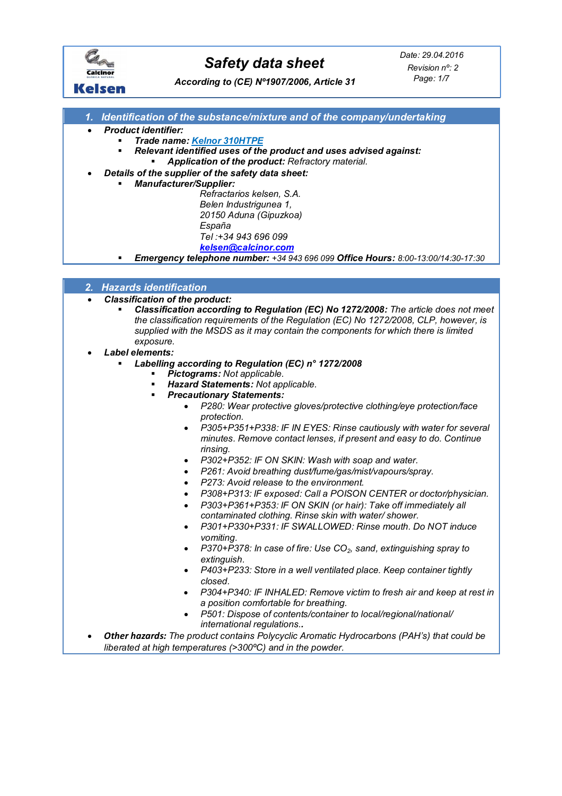

*According to (CE) Nº1907/2006, Article 31*

*Page: 1/7 Revision nº: 2*

# **Kelsen**

- *1. Identification of the substance/mixture and of the company/undertaking*
- *Product identifier:*
	- *Trade name: Kelnor 310HTPE*
		- *Relevant identified uses of the product and uses advised against: Application of the product: Refractory material.*
- *Details of the supplier of the safety data sheet:*
	- *Manufacturer/Supplier:* 
		- *Refractarios kelsen, S.A.*
			- *Belen Industrigunea 1, 20150 Aduna (Gipuzkoa)*
			- *España*
			- *Tel :+34 943 696 099*
			- *[kelsen@calcinor.com](mailto:kelsen@calcinor.com)*
	- *Emergency telephone number: +34 943 696 099 Office Hours: 8:00-13:00/14:30-17:30*

| 2. Hazards identification |
|---------------------------|
|                           |

- *Classification of the product:*
	- *Classification according to Regulation (EC) No 1272/2008: The article does not meet the classification requirements of the Regulation (EC) No 1272/2008, CLP, however, is supplied with the MSDS as it may contain the components for which there is limited exposure.*
- *Label elements:*
	- *Labelling according to Regulation (EC) n° 1272/2008*
		- *Pictograms: Not applicable.*
		- *Hazard Statements: Not applicable.*
		- *Precautionary Statements:*
			- *P280: Wear protective gloves/protective clothing/eye protection/face protection.*
			- *P305+P351+P338: IF IN EYES: Rinse cautiously with water for several minutes. Remove contact lenses, if present and easy to do. Continue rinsing.*
			- *P302+P352: IF ON SKIN: Wash with soap and water.*
			- *P261: Avoid breathing dust/fume/gas/mist/vapours/spray.*
			- *P273: Avoid release to the environment.*
			- *P308+P313: IF exposed: Call a POISON CENTER or doctor/physician.*
			- *P303+P361+P353: IF ON SKIN (or hair): Take off immediately all contaminated clothing. Rinse skin with water/ shower.*
			- *P301+P330+P331: IF SWALLOWED: Rinse mouth. Do NOT induce vomiting.*
			- *P370+P378: In case of fire: Use CO2, sand, extinguishing spray to extinguish.*
			- *P403+P233: Store in a well ventilated place. Keep container tightly closed.*
			- *P304+P340: IF INHALED: Remove victim to fresh air and keep at rest in a position comfortable for breathing.*
			- *P501: Dispose of contents/container to local/regional/national/ international regulations..*
- *Other hazards: The product contains Polycyclic Aromatic Hydrocarbons (PAH's) that could be liberated at high temperatures (>300ºC) and in the powder.*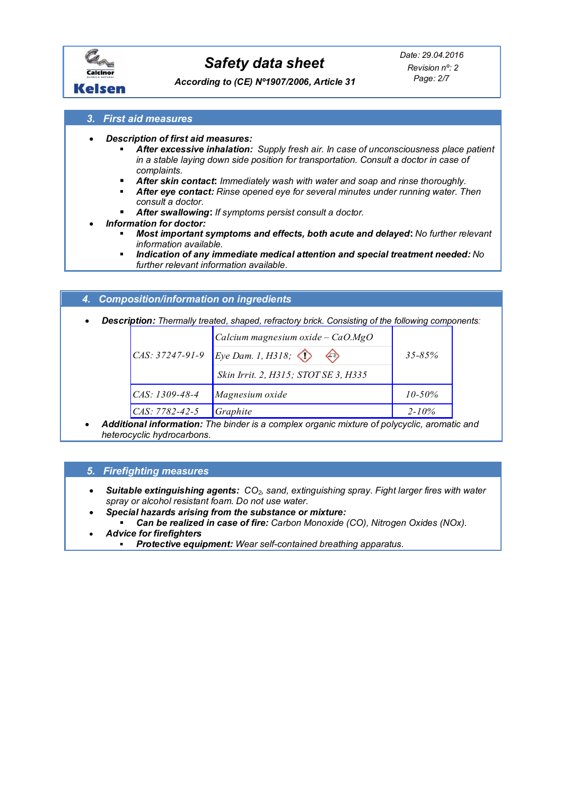

*Page: 2/7 Revision nº: 2*

*According to (CE) Nº1907/2006, Article 31*

## *3. First aid measures*

- *Description of first aid measures:*
	- *After excessive inhalation: Supply fresh air. In case of unconsciousness place patient in a stable laying down side position for transportation. Consult a doctor in case of complaints.*
	- *After skin contact***:** *Immediately wash with water and soap and rinse thoroughly.*
	- *After eye contact: Rinse opened eye for several minutes under running water. Then consult a doctor.*
	- *After swallowing***:** *If symptoms persist consult a doctor.*
- *Information for doctor:*
	- *Most important symptoms and effects, both acute and delayed***:** *No further relevant information available.*
	- *Indication of any immediate medical attention and special treatment needed: No further relevant information available.*

## *4. Composition/information on ingredients*

*Description: Thermally treated, shaped, refractory brick. Consisting of the following components:*

|                   | Calcium magnesium oxide - $CaO.MgO$                     |             |  |
|-------------------|---------------------------------------------------------|-------------|--|
| $CAS: 37247-91-9$ | Eye Dam. 1, H318;<br>$\left\langle \cdot \right\rangle$ | $35 - 85\%$ |  |
|                   | Skin Irrit. 2, H315; STOT SE 3, H335                    |             |  |
| CAS: 1309-48-4    | Magnesium oxide                                         | $10 - 50\%$ |  |
| CAS: 7782-42-5    | Graphite                                                | $2 - 10\%$  |  |

 *Additional information: The binder is a complex organic mixture of polycyclic, aromatic and heterocyclic hydrocarbons.*

## *5. Firefighting measures*

- *Suitable extinguishing agents: CO2, sand, extinguishing spray. Fight larger fires with water spray or alcohol resistant foam. Do not use water.*
- *Special hazards arising from the substance or mixture:*
- *Can be realized in case of fire: Carbon Monoxide (CO), Nitrogen Oxides (NOx). Advice for firefighters* 
	- *Protective equipment: Wear self-contained breathing apparatus.*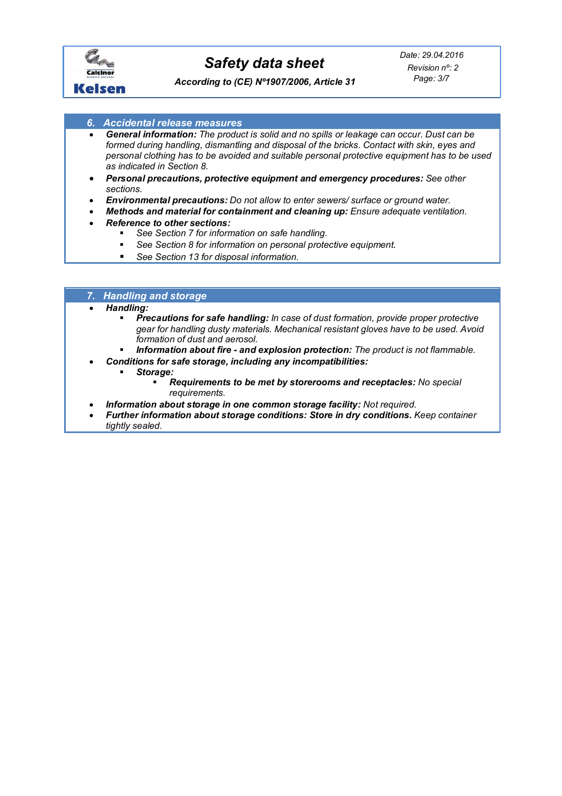

*According to (CE) Nº1907/2006, Article 31*

- *6. Accidental release measures*
- *General information: The product is solid and no spills or leakage can occur. Dust can be formed during handling, dismantling and disposal of the bricks. Contact with skin, eyes and personal clothing has to be avoided and suitable personal protective equipment has to be used as indicated in Section 8.*
- *Personal precautions, protective equipment and emergency procedures: See other sections.*
- *Environmental precautions: Do not allow to enter sewers/ surface or ground water.*
- *Methods and material for containment and cleaning up: Ensure adequate ventilation.*
- *Reference to other sections:*
	- *See Section 7 for information on safe handling.*
	- *See Section 8 for information on personal protective equipment*.
	- *See Section 13 for disposal information.*

# *7. Handling and storage*

#### *Handling:*

- *Precautions for safe handling: In case of dust formation, provide proper protective gear for handling dusty materials. Mechanical resistant gloves have to be used. Avoid formation of dust and aerosol.*
- *Information about fire - and explosion protection: The product is not flammable.*
	- *Conditions for safe storage, including any incompatibilities:*
		- *Storage:*
			- *Requirements to be met by storerooms and receptacles: No special requirements.*
- *Information about storage in one common storage facility: Not required.*
- *Further information about storage conditions: Store in dry conditions. Keep container tightly sealed.*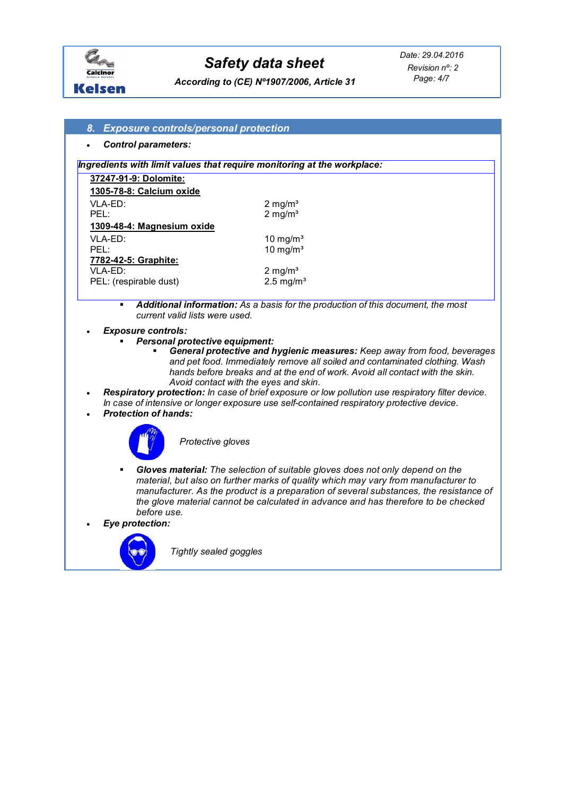

*Page: 4/7 Revision nº: 2*

*According to (CE) Nº1907/2006, Article 31*

#### *8. Exposure controls/personal protection*

*Control parameters:*

#### *Ingredients with limit values that require monitoring at the workplace:*

| 37247-91-9: Dolomite:      |                         |
|----------------------------|-------------------------|
| 1305-78-8: Calcium oxide   |                         |
| VLA-ED:                    | $2 \text{ mg/m}^3$      |
| $PFI$ :                    | $2 \text{ mg/m}^3$      |
| 1309-48-4: Magnesium oxide |                         |
| VLA-ED:                    | 10 mg/m <sup>3</sup>    |
| PFI ·                      | $10 \text{ mg/m}^3$     |
| 7782-42-5: Graphite:       |                         |
| VI A-FD:                   | $2 \text{ mg/m}^3$      |
| PEL: (respirable dust)     | $2.5$ mg/m <sup>3</sup> |

- *Additional information: As a basis for the production of this document, the most current valid lists were used.*
- *Exposure controls:*
	- *Personal protective equipment:*
		- *General protective and hygienic measures: Keep away from food, beverages and pet food. Immediately remove all soiled and contaminated clothing. Wash hands before breaks and at the end of work. Avoid all contact with the skin. Avoid contact with the eyes and skin.*
- *Respiratory protection: In case of brief exposure or low pollution use respiratory filter device. In case of intensive or longer exposure use self-contained respiratory protective device. Protection of hands:*



*Protective gloves*

 *Gloves material: The selection of suitable gloves does not only depend on the material, but also on further marks of quality which may vary from manufacturer to manufacturer. As the product is a preparation of several substances, the resistance of the glove material cannot be calculated in advance and has therefore to be checked before use.*

*Eye protection:*



*Tightly sealed goggles*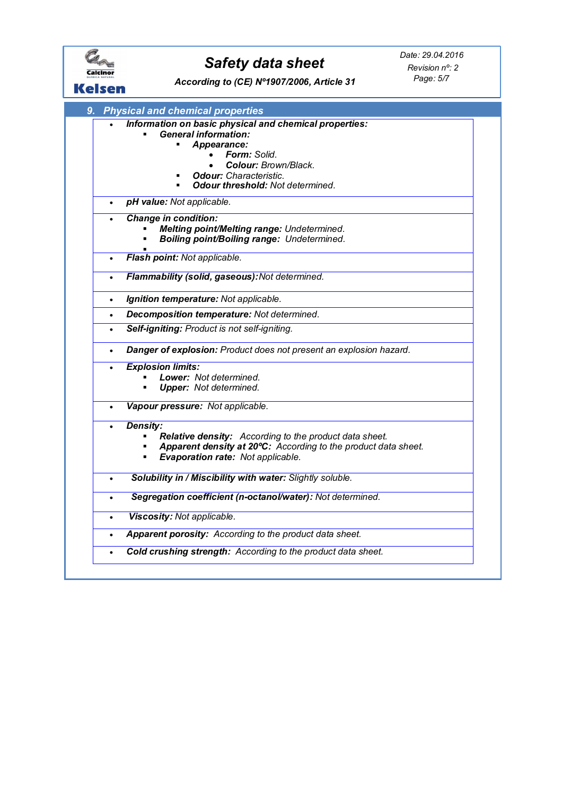| Kelsen    | Date: 29.04.2016<br><b>Safety data sheet</b><br>Revision n°: 2<br>Page: 5/7<br>According to (CE) Nº1907/2006, Article 31                                                                                                        |  |
|-----------|---------------------------------------------------------------------------------------------------------------------------------------------------------------------------------------------------------------------------------|--|
| 9.        | <b>Physical and chemical properties</b>                                                                                                                                                                                         |  |
|           | Information on basic physical and chemical properties:<br><b>General information:</b><br>Appearance:<br><b>Form:</b> Solid.<br>Colour: Brown/Black.<br><b>Odour:</b> Characteristic.<br><b>Odour threshold: Not determined.</b> |  |
| $\bullet$ | pH value: Not applicable.                                                                                                                                                                                                       |  |
| $\bullet$ | <b>Change in condition:</b><br><b>Melting point/Melting range: Undetermined.</b><br><b>Boiling point/Boiling range: Undetermined.</b><br>Flash point: Not applicable.                                                           |  |
|           | Flammability (solid, gaseous): Not determined.                                                                                                                                                                                  |  |
| $\bullet$ | Ignition temperature: Not applicable.                                                                                                                                                                                           |  |
| $\bullet$ | Decomposition temperature: Not determined.                                                                                                                                                                                      |  |
| $\bullet$ | Self-igniting: Product is not self-igniting.                                                                                                                                                                                    |  |
| $\bullet$ | Danger of explosion: Product does not present an explosion hazard.                                                                                                                                                              |  |
| $\bullet$ | <b>Explosion limits:</b>                                                                                                                                                                                                        |  |
|           | Lower: Not determined.<br><b>Upper:</b> Not determined.                                                                                                                                                                         |  |
| $\bullet$ | Vapour pressure: Not applicable.                                                                                                                                                                                                |  |
| $\bullet$ | <b>Density:</b><br>Relative density: According to the product data sheet.<br>Apparent density at 20°C: According to the product data sheet.<br><b>Evaporation rate: Not applicable.</b>                                         |  |
|           | Solubility in / Miscibility with water: Slightly soluble.                                                                                                                                                                       |  |
| $\bullet$ | Segregation coefficient (n-octanol/water): Not determined.                                                                                                                                                                      |  |
| $\bullet$ | Viscosity: Not applicable.                                                                                                                                                                                                      |  |
| ٠         | Apparent porosity: According to the product data sheet.                                                                                                                                                                         |  |
| $\bullet$ | Cold crushing strength: According to the product data sheet.                                                                                                                                                                    |  |
|           |                                                                                                                                                                                                                                 |  |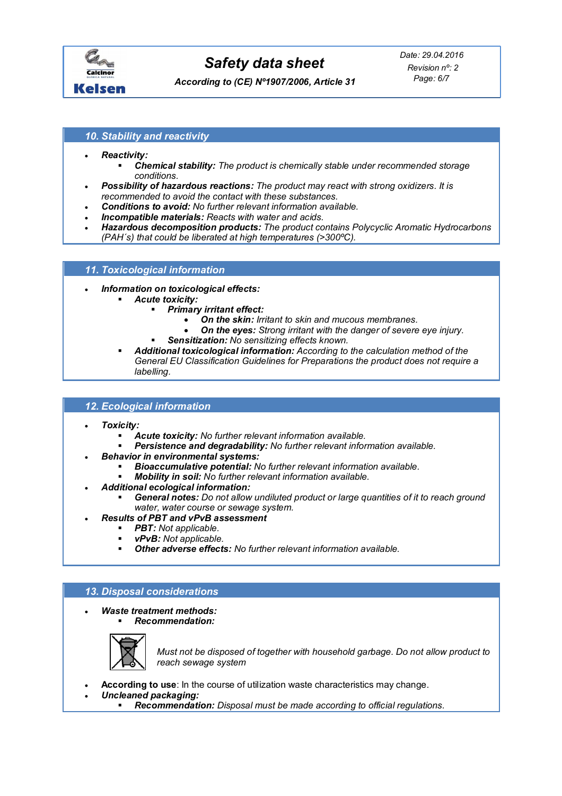

*According to (CE) Nº1907/2006, Article 31*

*Page: 6/7 Revision nº: 2*

### *10. Stability and reactivity*

- *Reactivity:*
	- *Chemical stability: The product is chemically stable under recommended storage conditions.*
- *Possibility of hazardous reactions: The product may react with strong oxidizers. It is recommended to avoid the contact with these substances.*
- *Conditions to avoid: No further relevant information available.*
- *Incompatible materials: Reacts with water and acids.*
- *Hazardous decomposition products: The product contains Polycyclic Aromatic Hydrocarbons (PAH´s) that could be liberated at high temperatures (>300ºC).*

#### *11. Toxicological information*

- *Information on toxicological effects:* 
	- *Acute toxicity:*
		- *Primary irritant effect:*
			- *On the skin: Irritant to skin and mucous membranes.*
			- *On the eyes: Strong irritant with the danger of severe eye injury.*
			- *Sensitization: No sensitizing effects known.*
	- *Additional toxicological information: According to the calculation method of the General EU Classification Guidelines for Preparations the product does not require a labelling.*

### *12. Ecological information*

- *Toxicity:* 
	- *Acute toxicity: No further relevant information available.*
	- *Persistence and degradability: No further relevant information available.*
	- *Behavior in environmental systems:*
		- *Bioaccumulative potential: No further relevant information available.*
		- *Mobility in soil: No further relevant information available.*
- *Additional ecological information:*
	- *General notes: Do not allow undiluted product or large quantities of it to reach ground water, water course or sewage system.*
	- *Results of PBT and vPvB assessment*
		- *PBT: Not applicable.*
		- *vPvB: Not applicable.*
		- *Other adverse effects: No further relevant information available.*

## *13. Disposal considerations*

- *Waste treatment methods:* 
	- *Recommendation:*



*Must not be disposed of together with household garbage. Do not allow product to reach sewage system* 

- **According to use**: In the course of utilization waste characteristics may change.
	- *Uncleaned packaging:* 
		- *Recommendation: Disposal must be made according to official regulations.*